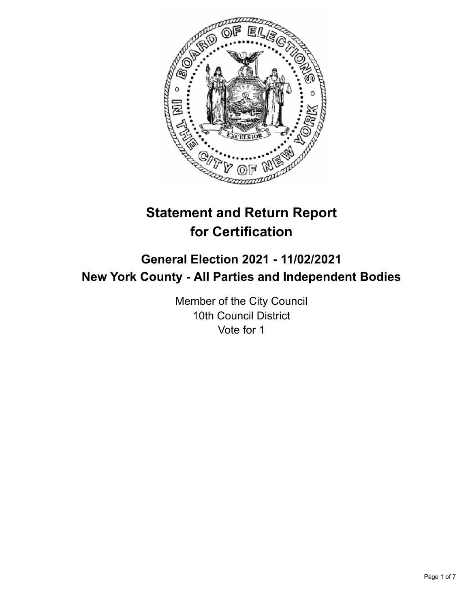

# **Statement and Return Report for Certification**

## **General Election 2021 - 11/02/2021 New York County - All Parties and Independent Bodies**

Member of the City Council 10th Council District Vote for 1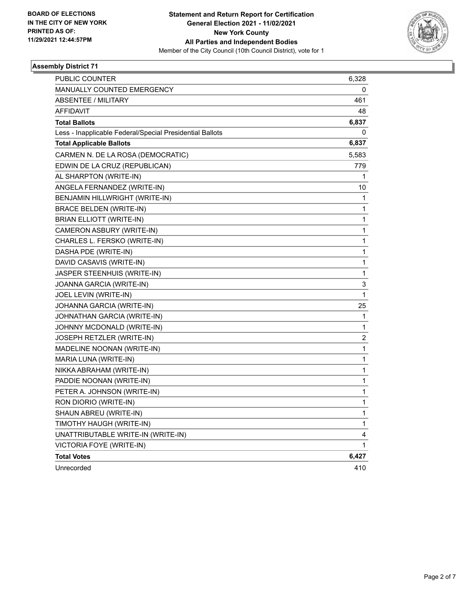

### **Assembly District 71**

| PUBLIC COUNTER                                           | 6,328 |
|----------------------------------------------------------|-------|
| <b>MANUALLY COUNTED EMERGENCY</b>                        | 0     |
| <b>ABSENTEE / MILITARY</b>                               | 461   |
| <b>AFFIDAVIT</b>                                         | 48    |
| <b>Total Ballots</b>                                     | 6,837 |
| Less - Inapplicable Federal/Special Presidential Ballots | 0     |
| <b>Total Applicable Ballots</b>                          | 6,837 |
| CARMEN N. DE LA ROSA (DEMOCRATIC)                        | 5,583 |
| EDWIN DE LA CRUZ (REPUBLICAN)                            | 779   |
| AL SHARPTON (WRITE-IN)                                   | 1     |
| ANGELA FERNANDEZ (WRITE-IN)                              | 10    |
| BENJAMIN HILLWRIGHT (WRITE-IN)                           | 1     |
| <b>BRACE BELDEN (WRITE-IN)</b>                           | 1     |
| <b>BRIAN ELLIOTT (WRITE-IN)</b>                          | 1     |
| CAMERON ASBURY (WRITE-IN)                                | 1     |
| CHARLES L. FERSKO (WRITE-IN)                             | 1     |
| DASHA PDE (WRITE-IN)                                     | 1     |
| DAVID CASAVIS (WRITE-IN)                                 | 1     |
| JASPER STEENHUIS (WRITE-IN)                              | 1     |
| JOANNA GARCIA (WRITE-IN)                                 | 3     |
| JOEL LEVIN (WRITE-IN)                                    | 1     |
| JOHANNA GARCIA (WRITE-IN)                                | 25    |
| JOHNATHAN GARCIA (WRITE-IN)                              | 1     |
| JOHNNY MCDONALD (WRITE-IN)                               | 1     |
| JOSEPH RETZLER (WRITE-IN)                                | 2     |
| MADELINE NOONAN (WRITE-IN)                               | 1     |
| MARIA LUNA (WRITE-IN)                                    | 1     |
| NIKKA ABRAHAM (WRITE-IN)                                 | 1     |
| PADDIE NOONAN (WRITE-IN)                                 | 1     |
| PETER A. JOHNSON (WRITE-IN)                              | 1     |
| RON DIORIO (WRITE-IN)                                    | 1     |
| SHAUN ABREU (WRITE-IN)                                   | 1     |
| TIMOTHY HAUGH (WRITE-IN)                                 | 1     |
| UNATTRIBUTABLE WRITE-IN (WRITE-IN)                       | 4     |
| VICTORIA FOYE (WRITE-IN)                                 | 1     |
| <b>Total Votes</b>                                       | 6,427 |
| Unrecorded                                               | 410   |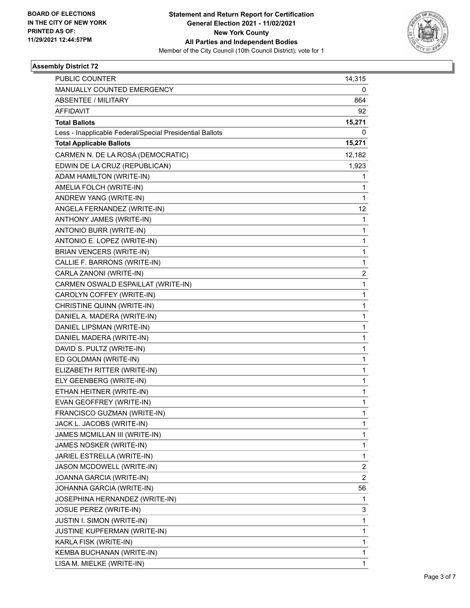

### **Assembly District 72**

| PUBLIC COUNTER                                           | 14,315         |
|----------------------------------------------------------|----------------|
| MANUALLY COUNTED EMERGENCY                               | 0              |
| ABSENTEE / MILITARY                                      | 864            |
| <b>AFFIDAVIT</b>                                         | 92             |
| <b>Total Ballots</b>                                     | 15,271         |
| Less - Inapplicable Federal/Special Presidential Ballots | 0              |
| <b>Total Applicable Ballots</b>                          | 15,271         |
| CARMEN N. DE LA ROSA (DEMOCRATIC)                        | 12,182         |
| EDWIN DE LA CRUZ (REPUBLICAN)                            | 1,923          |
| ADAM HAMILTON (WRITE-IN)                                 | 1              |
| AMELIA FOLCH (WRITE-IN)                                  | 1              |
| ANDREW YANG (WRITE-IN)                                   | 1              |
| ANGELA FERNANDEZ (WRITE-IN)                              | 12             |
| ANTHONY JAMES (WRITE-IN)                                 | 1              |
| ANTONIO BURR (WRITE-IN)                                  | 1              |
| ANTONIO E. LOPEZ (WRITE-IN)                              | 1              |
| <b>BRIAN VENCERS (WRITE-IN)</b>                          | 1              |
| CALLIE F. BARRONS (WRITE-IN)                             | 1              |
| CARLA ZANONI (WRITE-IN)                                  | 2              |
| CARMEN OSWALD ESPAILLAT (WRITE-IN)                       | 1              |
| CAROLYN COFFEY (WRITE-IN)                                | 1              |
| CHRISTINE QUINN (WRITE-IN)                               | 1              |
| DANIEL A. MADERA (WRITE-IN)                              | 1              |
| DANIEL LIPSMAN (WRITE-IN)                                | 1              |
| DANIEL MADERA (WRITE-IN)                                 | $\mathbf{1}$   |
| DAVID S. PULTZ (WRITE-IN)                                | 1              |
| ED GOLDMAN (WRITE-IN)                                    | 1              |
| ELIZABETH RITTER (WRITE-IN)                              | 1              |
| ELY GEENBERG (WRITE-IN)                                  | 1              |
| ETHAN HEITNER (WRITE-IN)                                 | 1              |
| EVAN GEOFFREY (WRITE-IN)                                 | $\mathbf{1}$   |
| FRANCISCO GUZMAN (WRITE-IN)                              | 1              |
| JACK L. JACOBS (WRITE-IN)                                | 1              |
| JAMES MCMILLAN III (WRITE-IN)                            | 1              |
| JAMES NOSKER (WRITE-IN)                                  | 1              |
| JARIEL ESTRELLA (WRITE-IN)                               | 1              |
| JASON MCDOWELL (WRITE-IN)                                | 2              |
| JOANNA GARCIA (WRITE-IN)                                 | $\overline{2}$ |
| JOHANNA GARCIA (WRITE-IN)                                | 56             |
| JOSEPHINA HERNANDEZ (WRITE-IN)                           | 1              |
| JOSUE PEREZ (WRITE-IN)                                   | 3              |
| <b>JUSTIN I. SIMON (WRITE-IN)</b>                        | $\mathbf{1}$   |
| JUSTINE KUPFERMAN (WRITE-IN)                             | 1              |
| KARLA FISK (WRITE-IN)                                    | 1              |
| KEMBA BUCHANAN (WRITE-IN)                                | 1              |
| LISA M. MIELKE (WRITE-IN)                                | $\mathbf{1}$   |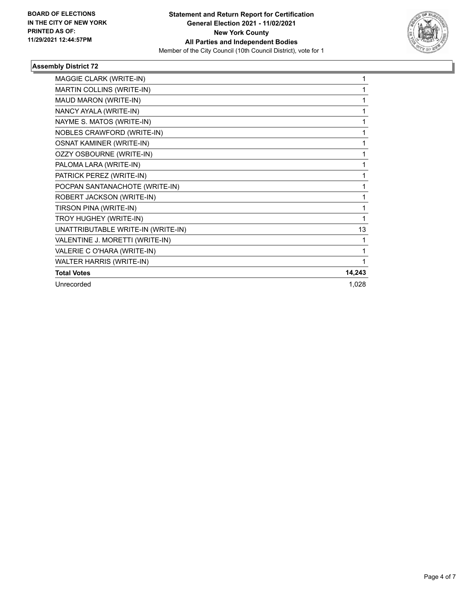

### **Assembly District 72**

| MAGGIE CLARK (WRITE-IN)            |        |
|------------------------------------|--------|
| MARTIN COLLINS (WRITE-IN)          |        |
| MAUD MARON (WRITE-IN)              | 1      |
| NANCY AYALA (WRITE-IN)             | 1      |
| NAYME S. MATOS (WRITE-IN)          | 1      |
| NOBLES CRAWFORD (WRITE-IN)         |        |
| <b>OSNAT KAMINER (WRITE-IN)</b>    | 1      |
| <b>OZZY OSBOURNE (WRITE-IN)</b>    |        |
| PALOMA LARA (WRITE-IN)             |        |
| PATRICK PEREZ (WRITE-IN)           | 1      |
| POCPAN SANTANACHOTE (WRITE-IN)     | 1      |
| ROBERT JACKSON (WRITE-IN)          |        |
| TIRSON PINA (WRITE-IN)             | 1      |
| TROY HUGHEY (WRITE-IN)             | 1      |
| UNATTRIBUTABLE WRITE-IN (WRITE-IN) | 13     |
| VALENTINE J. MORETTI (WRITE-IN)    |        |
| VALERIE C O'HARA (WRITE-IN)        | 1      |
| WALTER HARRIS (WRITE-IN)           |        |
| <b>Total Votes</b>                 | 14,243 |
| Unrecorded                         | 1,028  |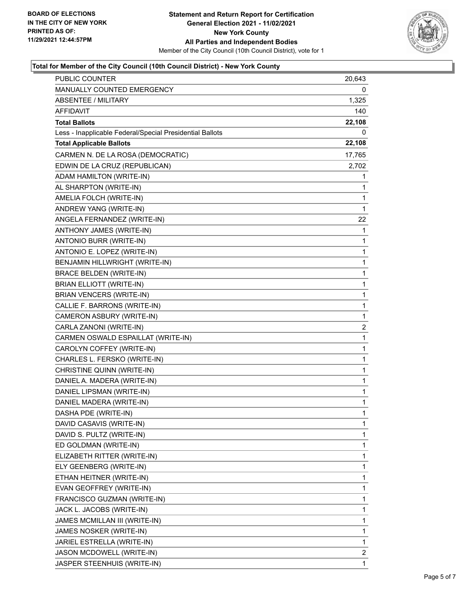

### **Total for Member of the City Council (10th Council District) - New York County**

| <b>PUBLIC COUNTER</b>                                    | 20,643       |
|----------------------------------------------------------|--------------|
| MANUALLY COUNTED EMERGENCY                               | 0            |
| <b>ABSENTEE / MILITARY</b>                               | 1,325        |
| AFFIDAVIT                                                | 140          |
| <b>Total Ballots</b>                                     | 22,108       |
| Less - Inapplicable Federal/Special Presidential Ballots | 0            |
| <b>Total Applicable Ballots</b>                          | 22,108       |
| CARMEN N. DE LA ROSA (DEMOCRATIC)                        | 17,765       |
| EDWIN DE LA CRUZ (REPUBLICAN)                            | 2,702        |
| ADAM HAMILTON (WRITE-IN)                                 | 1            |
| AL SHARPTON (WRITE-IN)                                   | 1            |
| AMELIA FOLCH (WRITE-IN)                                  | 1            |
| ANDREW YANG (WRITE-IN)                                   | 1            |
| ANGELA FERNANDEZ (WRITE-IN)                              | 22           |
| ANTHONY JAMES (WRITE-IN)                                 | 1            |
| ANTONIO BURR (WRITE-IN)                                  | 1            |
| ANTONIO E. LOPEZ (WRITE-IN)                              | 1            |
| BENJAMIN HILLWRIGHT (WRITE-IN)                           | 1            |
| <b>BRACE BELDEN (WRITE-IN)</b>                           | $\mathbf{1}$ |
| <b>BRIAN ELLIOTT (WRITE-IN)</b>                          | 1            |
| <b>BRIAN VENCERS (WRITE-IN)</b>                          | 1            |
| CALLIE F. BARRONS (WRITE-IN)                             | 1            |
| CAMERON ASBURY (WRITE-IN)                                | 1            |
| CARLA ZANONI (WRITE-IN)                                  | 2            |
| CARMEN OSWALD ESPAILLAT (WRITE-IN)                       | 1            |
| CAROLYN COFFEY (WRITE-IN)                                | 1            |
| CHARLES L. FERSKO (WRITE-IN)                             | 1            |
| CHRISTINE QUINN (WRITE-IN)                               | 1            |
| DANIEL A. MADERA (WRITE-IN)                              | 1            |
| DANIEL LIPSMAN (WRITE-IN)                                | 1            |
| DANIEL MADERA (WRITE-IN)                                 | 1            |
| DASHA PDE (WRITE-IN)                                     | $\mathbf{1}$ |
| DAVID CASAVIS (WRITE-IN)                                 | 1            |
| DAVID S. PULTZ (WRITE-IN)                                | 1            |
| ED GOLDMAN (WRITE-IN)                                    | 1            |
| ELIZABETH RITTER (WRITE-IN)                              | 1            |
| ELY GEENBERG (WRITE-IN)                                  | 1            |
| ETHAN HEITNER (WRITE-IN)                                 | 1            |
| EVAN GEOFFREY (WRITE-IN)                                 | 1            |
| FRANCISCO GUZMAN (WRITE-IN)                              | 1            |
| JACK L. JACOBS (WRITE-IN)                                | 1            |
| JAMES MCMILLAN III (WRITE-IN)                            | 1            |
| JAMES NOSKER (WRITE-IN)                                  | 1            |
| JARIEL ESTRELLA (WRITE-IN)                               | 1            |
| JASON MCDOWELL (WRITE-IN)                                | 2            |
| JASPER STEENHUIS (WRITE-IN)                              | $\mathbf{1}$ |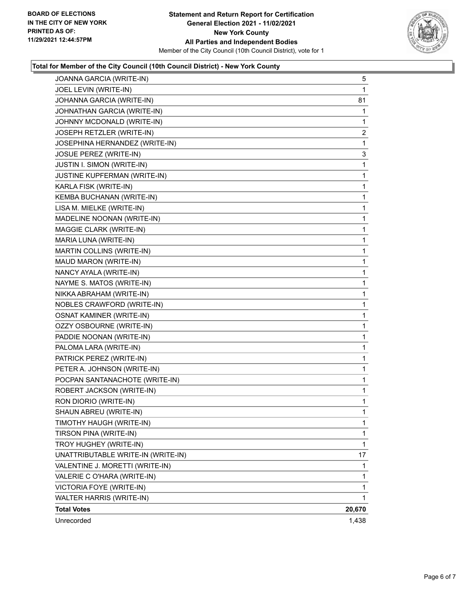

### **Total for Member of the City Council (10th Council District) - New York County**

| JOANNA GARCIA (WRITE-IN)           | 5            |
|------------------------------------|--------------|
| JOEL LEVIN (WRITE-IN)              | 1            |
| JOHANNA GARCIA (WRITE-IN)          | 81           |
| JOHNATHAN GARCIA (WRITE-IN)        | 1            |
| JOHNNY MCDONALD (WRITE-IN)         | 1            |
| JOSEPH RETZLER (WRITE-IN)          | 2            |
| JOSEPHINA HERNANDEZ (WRITE-IN)     | $\mathbf 1$  |
| JOSUE PEREZ (WRITE-IN)             | 3            |
| JUSTIN I. SIMON (WRITE-IN)         | 1            |
| JUSTINE KUPFERMAN (WRITE-IN)       | $\mathbf 1$  |
| KARLA FISK (WRITE-IN)              | 1            |
| KEMBA BUCHANAN (WRITE-IN)          | 1            |
| LISA M. MIELKE (WRITE-IN)          | $\mathbf 1$  |
| MADELINE NOONAN (WRITE-IN)         | $\mathbf 1$  |
| MAGGIE CLARK (WRITE-IN)            | 1            |
| MARIA LUNA (WRITE-IN)              | $\mathbf{1}$ |
| MARTIN COLLINS (WRITE-IN)          | 1            |
| MAUD MARON (WRITE-IN)              | 1            |
| NANCY AYALA (WRITE-IN)             | $\mathbf 1$  |
| NAYME S. MATOS (WRITE-IN)          | 1            |
| NIKKA ABRAHAM (WRITE-IN)           | 1            |
| NOBLES CRAWFORD (WRITE-IN)         | $\mathbf{1}$ |
| <b>OSNAT KAMINER (WRITE-IN)</b>    | 1            |
| OZZY OSBOURNE (WRITE-IN)           | 1            |
| PADDIE NOONAN (WRITE-IN)           | $\mathbf 1$  |
| PALOMA LARA (WRITE-IN)             | 1            |
| PATRICK PEREZ (WRITE-IN)           | 1            |
| PETER A. JOHNSON (WRITE-IN)        | $\mathbf 1$  |
| POCPAN SANTANACHOTE (WRITE-IN)     | 1            |
| ROBERT JACKSON (WRITE-IN)          | 1            |
| RON DIORIO (WRITE-IN)              | $\mathbf{1}$ |
| SHAUN ABREU (WRITE-IN)             | 1            |
| TIMOTHY HAUGH (WRITE-IN)           | $\mathbf{1}$ |
| TIRSON PINA (WRITE-IN)             | $\mathbf{1}$ |
| TROY HUGHEY (WRITE-IN)             | $\mathbf 1$  |
| UNATTRIBUTABLE WRITE-IN (WRITE-IN) | 17           |
| VALENTINE J. MORETTI (WRITE-IN)    | 1            |
| VALERIE C O'HARA (WRITE-IN)        | 1            |
| VICTORIA FOYE (WRITE-IN)           | 1            |
| <b>WALTER HARRIS (WRITE-IN)</b>    | 1            |
| <b>Total Votes</b>                 | 20,670       |
| Unrecorded                         | 1,438        |